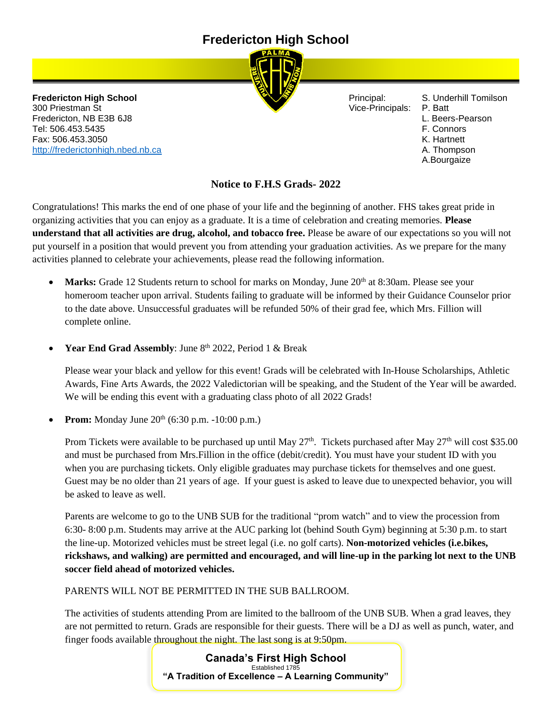# **Fredericton High School**



**Fredericton High School Principal: S. Underhill Tomilson** 300 Priestman St Vice-Principals: P. Batt Fredericton, NB E3B 6J8 L. Beers-Pearson Tel: 506.453.5435 F. Connors Fax: 506.453.3050 K. Hartnett [http://frederictonhigh.nbed.nb.ca](http://frederictonhigh.nbed.nb.ca/) **A. Thompson** A. Thompson

- 
- 
- 
- 
- 
- A.Bourgaize

### **Notice to F.H.S Grads- 2022**

Congratulations! This marks the end of one phase of your life and the beginning of another. FHS takes great pride in organizing activities that you can enjoy as a graduate. It is a time of celebration and creating memories. **Please understand that all activities are drug, alcohol, and tobacco free.** Please be aware of our expectations so you will not put yourself in a position that would prevent you from attending your graduation activities. As we prepare for the many activities planned to celebrate your achievements, please read the following information.

- **Marks:** Grade 12 Students return to school for marks on Monday, June 20<sup>th</sup> at 8:30am. Please see your homeroom teacher upon arrival. Students failing to graduate will be informed by their Guidance Counselor prior to the date above. Unsuccessful graduates will be refunded 50% of their grad fee, which Mrs. Fillion will complete online.
- Year End Grad Assembly: June 8<sup>th</sup> 2022, Period 1 & Break

Please wear your black and yellow for this event! Grads will be celebrated with In-House Scholarships, Athletic Awards, Fine Arts Awards, the 2022 Valedictorian will be speaking, and the Student of the Year will be awarded. We will be ending this event with a graduating class photo of all 2022 Grads!

**Prom:** Monday June 20<sup>th</sup> (6:30 p.m. -10:00 p.m.)

Prom Tickets were available to be purchased up until May  $27<sup>th</sup>$ . Tickets purchased after May  $27<sup>th</sup>$  will cost \$35.00 and must be purchased from Mrs.Fillion in the office (debit/credit). You must have your student ID with you when you are purchasing tickets. Only eligible graduates may purchase tickets for themselves and one guest. Guest may be no older than 21 years of age. If your guest is asked to leave due to unexpected behavior, you will be asked to leave as well.

Parents are welcome to go to the UNB SUB for the traditional "prom watch" and to view the procession from 6:30- 8:00 p.m. Students may arrive at the AUC parking lot (behind South Gym) beginning at 5:30 p.m. to start the line-up. Motorized vehicles must be street legal (i.e. no golf carts). **Non-motorized vehicles (i.e.bikes, rickshaws, and walking) are permitted and encouraged, and will line-up in the parking lot next to the UNB soccer field ahead of motorized vehicles.**

### PARENTS WILL NOT BE PERMITTED IN THE SUB BALLROOM.

The activities of students attending Prom are limited to the ballroom of the UNB SUB. When a grad leaves, they are not permitted to return. Grads are responsible for their guests. There will be a DJ as well as punch, water, and finger foods available throughout the night. The last song is at 9:50pm.

> **Canada's First High School** Established 1785 **"A Tradition of Excellence – A Learning Community"**